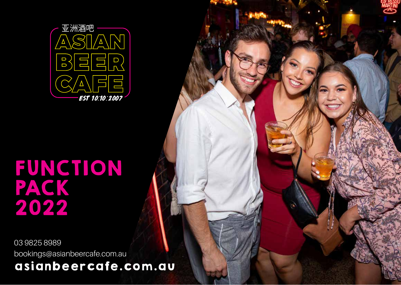

# FUNCTION PACK 2022

03 9825 8989 bookings@asianbeercafe.com.au asianbeercafe.com.au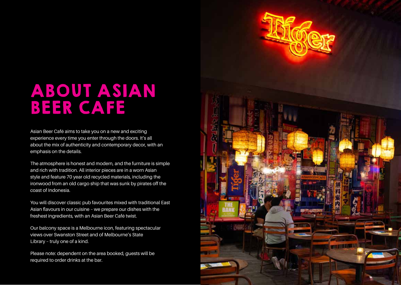

### ABOUT ASIAN BEER CAFE

Asian Beer Café aims to take you on a new and exciting experience every time you enter through the doors. It's all about the mix of authenticity and contemporary decor, with an emphasis on the details.

The atmosphere is honest and modern, and the furniture is simple and rich with tradition. All interior pieces are in a worn Asian style and feature 70 year old recycled materials, including the ironwood from an old cargo ship that was sunk by pirates off the coast of Indonesia.

You will discover classic pub favourites mixed with traditional East Asian flavours in our cuisine – we prepare our dishes with the freshest ingredients, with an Asian Beer Café twist.

Our balcony space is a Melbourne icon, featuring spectacular views over Swanston Street and of Melbourne's State Library – truly one of a kind.

Please note: dependent on the area booked, guests will be required to order drinks at the bar.

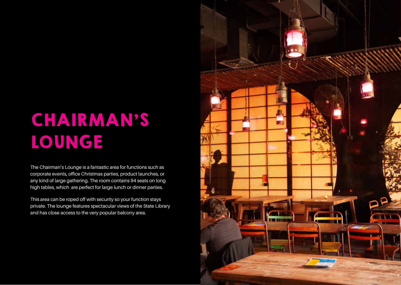# CHAIRMAN'S LOUNGE

The Chairman's Lounge is a fantastic area for functions such as corporate events, office Christmas parties, product launches, or any kind of large gathering. The room contains 94 seats on long high tables, which are perfect for large lunch or dinner parties.

This area can be roped off with security so your function stays private. The lounge features spectacular views of the State Library and has close access to the very popular balcony area.

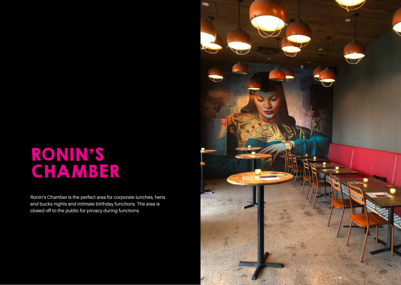## RONIN'S CHAMBER

Ronin's Chamber is the perfect area for corporate lunches, hens and bucks nights and intimate birthday functions. The area is closed off to the public for privacy during functions.

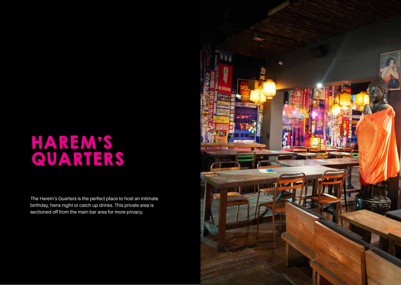### HAREM'S QUARTERS

The Harem's Quarters is the perfect place to host an intimate birthday, hens night or catch up drinks. This private area is sectioned off from the main bar area for more privacy.

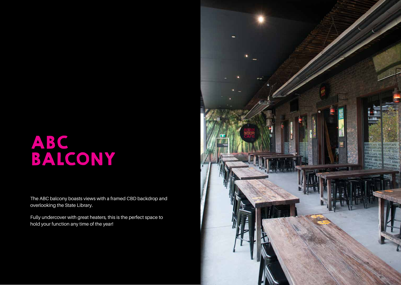## ABC BALCONY

The ABC balcony boasts views with a framed CBD backdrop and overlooking the State Library.

Fully undercover with great heaters, this is the perfect space to hold your function any time of the year!

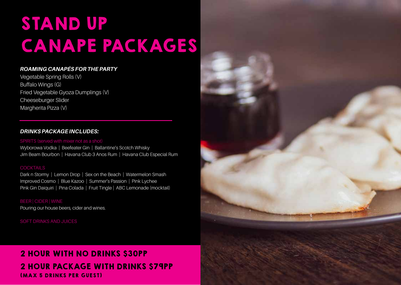# STAND UP CANAPE PACKAGES

### *ROAMING CANAPÉS FOR THE PARTY*

Vegetable Spring Rolls (V) Buffalo Wings (G) Fried Vegetable Gyoza Dumplings (V) Cheeseburger Slider Margherita Pizza (V)

### *DRINKS PACKAGE INCLUDES:*

#### SPIRITS (served with mixer not as a shot)

Wyborowa Vodka | Beefeater Gin | Ballantine's Scotch Whisky Jim Beam Bourbon | Havana Club 3 Anos Rum | Havana Club Especial Rum

### **COCKTAILS**

Dark n Stormy | Lemon Drop | Sex on the Beach | Watermelon Smash Improved Cosmo | Blue Kazoo | Summer's Passion | Pink Lychee Pink Gin Daiquiri | Pina Colada | Fruit Tingle | ABC Lemonade (mocktail)

BEER | CIDER | WINE Pouring our house beers, cider and wines.

SOFT DRINKS AND JUICES

### 2 HOUR WITH NO DRINKS \$30PP 2 HOUR PACKAGE WITH DRINKS \$79PP (MAX 5 DRINKS PER GUEST)

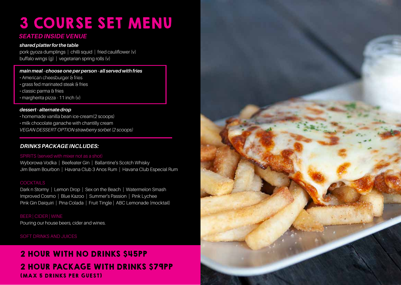## 3 COURSE SET MENU

### *SEATED INSIDE VENUE*

### *shared platter for the table*

pork gyoza dumplings | chilli squid | fried cauliflower (v) buffalo wings (g) | vegetarian spring rolls (v)

#### *main meal - choose one per person - all served with fries*

- American cheesburger & fries
- grass fed marinated steak & fries
- classic parma & fries
- margherita pizza 11 inch (v)

#### *dessert - alternate drop*

- homemade vanilla bean ice-cream(2 scoops)
- milk chocolate ganache with chantilly cream
- *VEGAN DESSERT OPTION strawberry sorbet (2 scoops)*

### *DRINKS PACKAGE INCLUDES:*

### SPIRITS (served with mixer not as a shot)

Wyborowa Vodka | Beefeater Gin | Ballantine's Scotch Whisky Jim Beam Bourbon | Havana Club 3 Anos Rum | Havana Club Especial Rum

### **COCKTAILS**

Dark n Stormy | Lemon Drop | Sex on the Beach | Watermelon Smash Improved Cosmo | Blue Kazoo | Summer's Passion | Pink Lychee Pink Gin Daiquiri | Pina Colada | Fruit Tingle | ABC Lemonade (mocktail)

Pouring our house beers, cider and wines.

SOFT DRINKS AND JUICES

### 2 HOUR WITH NO DRINKS \$45PP 2 HOUR PACKAGE WITH DRINKS \$79PP (MAX 5 DRINKS PER GUEST)